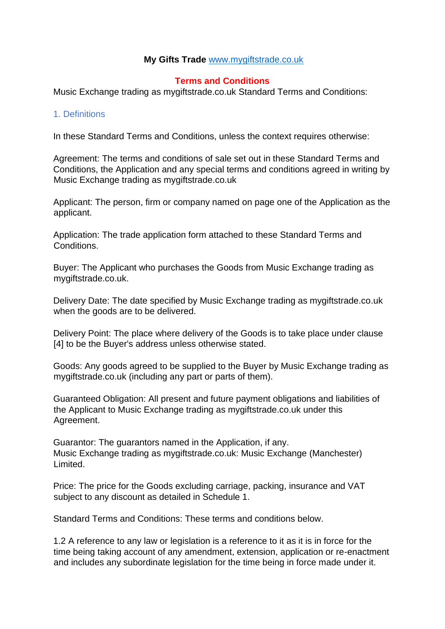### **My Gifts Trade** [www.mygiftstrade.co.uk](http://www.mygiftstrade.co.uk/)

### **Terms and Conditions**

Music Exchange trading as mygiftstrade.co.uk Standard Terms and Conditions:

#### 1. Definitions

In these Standard Terms and Conditions, unless the context requires otherwise:

Agreement: The terms and conditions of sale set out in these Standard Terms and Conditions, the Application and any special terms and conditions agreed in writing by Music Exchange trading as mygiftstrade.co.uk

Applicant: The person, firm or company named on page one of the Application as the applicant.

Application: The trade application form attached to these Standard Terms and Conditions.

Buyer: The Applicant who purchases the Goods from Music Exchange trading as mygiftstrade.co.uk.

Delivery Date: The date specified by Music Exchange trading as mygiftstrade.co.uk when the goods are to be delivered.

Delivery Point: The place where delivery of the Goods is to take place under clause [4] to be the Buyer's address unless otherwise stated.

Goods: Any goods agreed to be supplied to the Buyer by Music Exchange trading as mygiftstrade.co.uk (including any part or parts of them).

Guaranteed Obligation: All present and future payment obligations and liabilities of the Applicant to Music Exchange trading as mygiftstrade.co.uk under this Agreement.

Guarantor: The guarantors named in the Application, if any. Music Exchange trading as mygiftstrade.co.uk: Music Exchange (Manchester) Limited.

Price: The price for the Goods excluding carriage, packing, insurance and VAT subject to any discount as detailed in Schedule 1.

Standard Terms and Conditions: These terms and conditions below.

1.2 A reference to any law or legislation is a reference to it as it is in force for the time being taking account of any amendment, extension, application or re-enactment and includes any subordinate legislation for the time being in force made under it.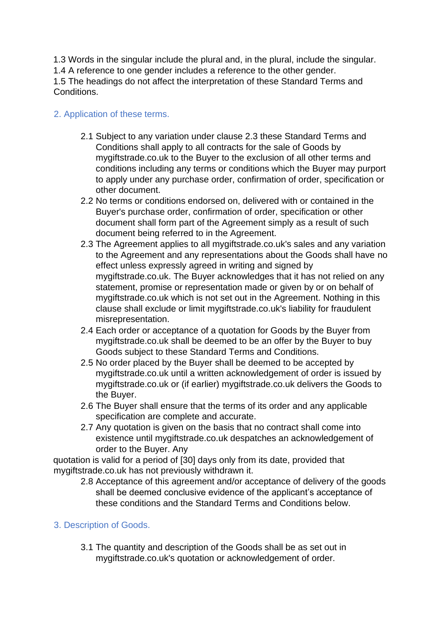1.3 Words in the singular include the plural and, in the plural, include the singular.

1.4 A reference to one gender includes a reference to the other gender.

1.5 The headings do not affect the interpretation of these Standard Terms and Conditions.

# 2. Application of these terms.

- 2.1 Subject to any variation under clause 2.3 these Standard Terms and Conditions shall apply to all contracts for the sale of Goods by mygiftstrade.co.uk to the Buyer to the exclusion of all other terms and conditions including any terms or conditions which the Buyer may purport to apply under any purchase order, confirmation of order, specification or other document.
- 2.2 No terms or conditions endorsed on, delivered with or contained in the Buyer's purchase order, confirmation of order, specification or other document shall form part of the Agreement simply as a result of such document being referred to in the Agreement.
- 2.3 The Agreement applies to all mygiftstrade.co.uk's sales and any variation to the Agreement and any representations about the Goods shall have no effect unless expressly agreed in writing and signed by mygiftstrade.co.uk. The Buyer acknowledges that it has not relied on any statement, promise or representation made or given by or on behalf of mygiftstrade.co.uk which is not set out in the Agreement. Nothing in this clause shall exclude or limit mygiftstrade.co.uk's liability for fraudulent misrepresentation.
- 2.4 Each order or acceptance of a quotation for Goods by the Buyer from mygiftstrade.co.uk shall be deemed to be an offer by the Buyer to buy Goods subject to these Standard Terms and Conditions.
- 2.5 No order placed by the Buyer shall be deemed to be accepted by mygiftstrade.co.uk until a written acknowledgement of order is issued by mygiftstrade.co.uk or (if earlier) mygiftstrade.co.uk delivers the Goods to the Buyer.
- 2.6 The Buyer shall ensure that the terms of its order and any applicable specification are complete and accurate.
- 2.7 Any quotation is given on the basis that no contract shall come into existence until mygiftstrade.co.uk despatches an acknowledgement of order to the Buyer. Any

quotation is valid for a period of [30] days only from its date, provided that mygiftstrade.co.uk has not previously withdrawn it.

2.8 Acceptance of this agreement and/or acceptance of delivery of the goods shall be deemed conclusive evidence of the applicant's acceptance of these conditions and the Standard Terms and Conditions below.

## 3. Description of Goods.

3.1 The quantity and description of the Goods shall be as set out in mygiftstrade.co.uk's quotation or acknowledgement of order.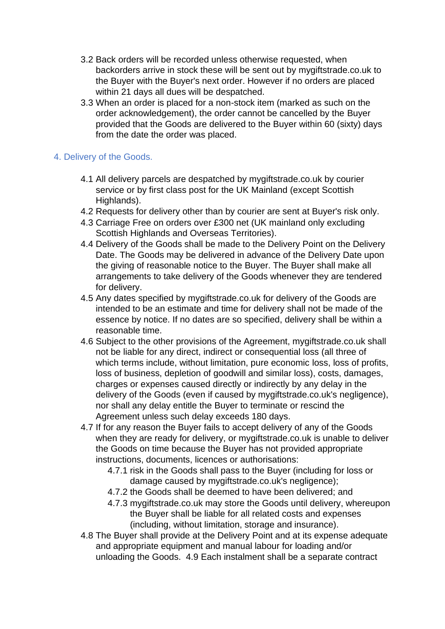- 3.2 Back orders will be recorded unless otherwise requested, when backorders arrive in stock these will be sent out by mygiftstrade.co.uk to the Buyer with the Buyer's next order. However if no orders are placed within 21 days all dues will be despatched.
- 3.3 When an order is placed for a non-stock item (marked as such on the order acknowledgement), the order cannot be cancelled by the Buyer provided that the Goods are delivered to the Buyer within 60 (sixty) days from the date the order was placed.

### 4. Delivery of the Goods.

- 4.1 All delivery parcels are despatched by mygiftstrade.co.uk by courier service or by first class post for the UK Mainland (except Scottish Highlands).
- 4.2 Requests for delivery other than by courier are sent at Buyer's risk only.
- 4.3 Carriage Free on orders over £300 net (UK mainland only excluding Scottish Highlands and Overseas Territories).
- 4.4 Delivery of the Goods shall be made to the Delivery Point on the Delivery Date. The Goods may be delivered in advance of the Delivery Date upon the giving of reasonable notice to the Buyer. The Buyer shall make all arrangements to take delivery of the Goods whenever they are tendered for delivery.
- 4.5 Any dates specified by mygiftstrade.co.uk for delivery of the Goods are intended to be an estimate and time for delivery shall not be made of the essence by notice. If no dates are so specified, delivery shall be within a reasonable time.
- 4.6 Subject to the other provisions of the Agreement, mygiftstrade.co.uk shall not be liable for any direct, indirect or consequential loss (all three of which terms include, without limitation, pure economic loss, loss of profits, loss of business, depletion of goodwill and similar loss), costs, damages, charges or expenses caused directly or indirectly by any delay in the delivery of the Goods (even if caused by mygiftstrade.co.uk's negligence), nor shall any delay entitle the Buyer to terminate or rescind the Agreement unless such delay exceeds 180 days.
- 4.7 If for any reason the Buyer fails to accept delivery of any of the Goods when they are ready for delivery, or mygiftstrade.co.uk is unable to deliver the Goods on time because the Buyer has not provided appropriate instructions, documents, licences or authorisations:
	- 4.7.1 risk in the Goods shall pass to the Buyer (including for loss or damage caused by mygiftstrade.co.uk's negligence);
	- 4.7.2 the Goods shall be deemed to have been delivered; and
	- 4.7.3 mygiftstrade.co.uk may store the Goods until delivery, whereupon the Buyer shall be liable for all related costs and expenses (including, without limitation, storage and insurance).
- 4.8 The Buyer shall provide at the Delivery Point and at its expense adequate and appropriate equipment and manual labour for loading and/or unloading the Goods. 4.9 Each instalment shall be a separate contract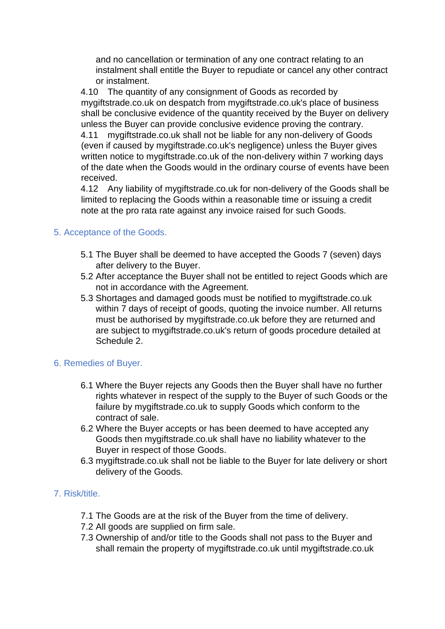and no cancellation or termination of any one contract relating to an instalment shall entitle the Buyer to repudiate or cancel any other contract or instalment.

4.10 The quantity of any consignment of Goods as recorded by mygiftstrade.co.uk on despatch from mygiftstrade.co.uk's place of business shall be conclusive evidence of the quantity received by the Buyer on delivery unless the Buyer can provide conclusive evidence proving the contrary.

4.11 mygiftstrade.co.uk shall not be liable for any non-delivery of Goods (even if caused by mygiftstrade.co.uk's negligence) unless the Buyer gives written notice to mygiftstrade.co.uk of the non-delivery within 7 working days of the date when the Goods would in the ordinary course of events have been received.

4.12 Any liability of mygiftstrade.co.uk for non-delivery of the Goods shall be limited to replacing the Goods within a reasonable time or issuing a credit note at the pro rata rate against any invoice raised for such Goods.

## 5. Acceptance of the Goods.

- 5.1 The Buyer shall be deemed to have accepted the Goods 7 (seven) days after delivery to the Buyer.
- 5.2 After acceptance the Buyer shall not be entitled to reject Goods which are not in accordance with the Agreement.
- 5.3 Shortages and damaged goods must be notified to mygiftstrade.co.uk within 7 days of receipt of goods, quoting the invoice number. All returns must be authorised by mygiftstrade.co.uk before they are returned and are subject to mygiftstrade.co.uk's return of goods procedure detailed at Schedule 2.

### 6. Remedies of Buyer.

- 6.1 Where the Buyer rejects any Goods then the Buyer shall have no further rights whatever in respect of the supply to the Buyer of such Goods or the failure by mygiftstrade.co.uk to supply Goods which conform to the contract of sale.
- 6.2 Where the Buyer accepts or has been deemed to have accepted any Goods then mygiftstrade.co.uk shall have no liability whatever to the Buyer in respect of those Goods.
- 6.3 mygiftstrade.co.uk shall not be liable to the Buyer for late delivery or short delivery of the Goods.

### 7. Risk/title.

- 7.1 The Goods are at the risk of the Buyer from the time of delivery.
- 7.2 All goods are supplied on firm sale.
- 7.3 Ownership of and/or title to the Goods shall not pass to the Buyer and shall remain the property of mygiftstrade.co.uk until mygiftstrade.co.uk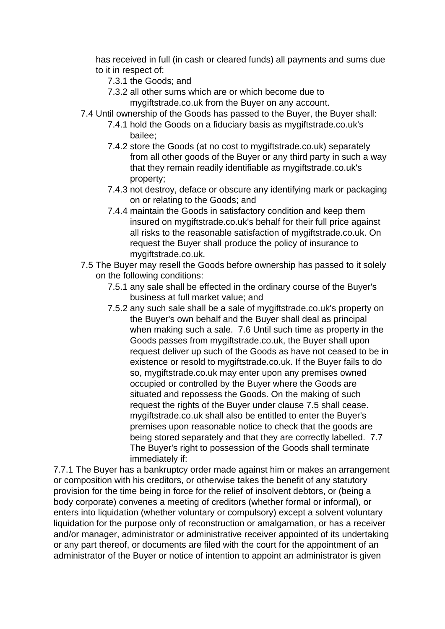has received in full (in cash or cleared funds) all payments and sums due to it in respect of:

- 7.3.1 the Goods; and
- 7.3.2 all other sums which are or which become due to mygiftstrade.co.uk from the Buyer on any account.
- 7.4 Until ownership of the Goods has passed to the Buyer, the Buyer shall:
	- 7.4.1 hold the Goods on a fiduciary basis as mygiftstrade.co.uk's bailee;
	- 7.4.2 store the Goods (at no cost to mygiftstrade.co.uk) separately from all other goods of the Buyer or any third party in such a way that they remain readily identifiable as mygiftstrade.co.uk's property;
	- 7.4.3 not destroy, deface or obscure any identifying mark or packaging on or relating to the Goods; and
	- 7.4.4 maintain the Goods in satisfactory condition and keep them insured on mygiftstrade.co.uk's behalf for their full price against all risks to the reasonable satisfaction of mygiftstrade.co.uk. On request the Buyer shall produce the policy of insurance to mygiftstrade.co.uk.
- 7.5 The Buyer may resell the Goods before ownership has passed to it solely on the following conditions:
	- 7.5.1 any sale shall be effected in the ordinary course of the Buyer's business at full market value; and
	- 7.5.2 any such sale shall be a sale of mygiftstrade.co.uk's property on the Buyer's own behalf and the Buyer shall deal as principal when making such a sale. 7.6 Until such time as property in the Goods passes from mygiftstrade.co.uk, the Buyer shall upon request deliver up such of the Goods as have not ceased to be in existence or resold to mygiftstrade.co.uk. If the Buyer fails to do so, mygiftstrade.co.uk may enter upon any premises owned occupied or controlled by the Buyer where the Goods are situated and repossess the Goods. On the making of such request the rights of the Buyer under clause 7.5 shall cease. mygiftstrade.co.uk shall also be entitled to enter the Buyer's premises upon reasonable notice to check that the goods are being stored separately and that they are correctly labelled. 7.7 The Buyer's right to possession of the Goods shall terminate immediately if:

7.7.1 The Buyer has a bankruptcy order made against him or makes an arrangement or composition with his creditors, or otherwise takes the benefit of any statutory provision for the time being in force for the relief of insolvent debtors, or (being a body corporate) convenes a meeting of creditors (whether formal or informal), or enters into liquidation (whether voluntary or compulsory) except a solvent voluntary liquidation for the purpose only of reconstruction or amalgamation, or has a receiver and/or manager, administrator or administrative receiver appointed of its undertaking or any part thereof, or documents are filed with the court for the appointment of an administrator of the Buyer or notice of intention to appoint an administrator is given